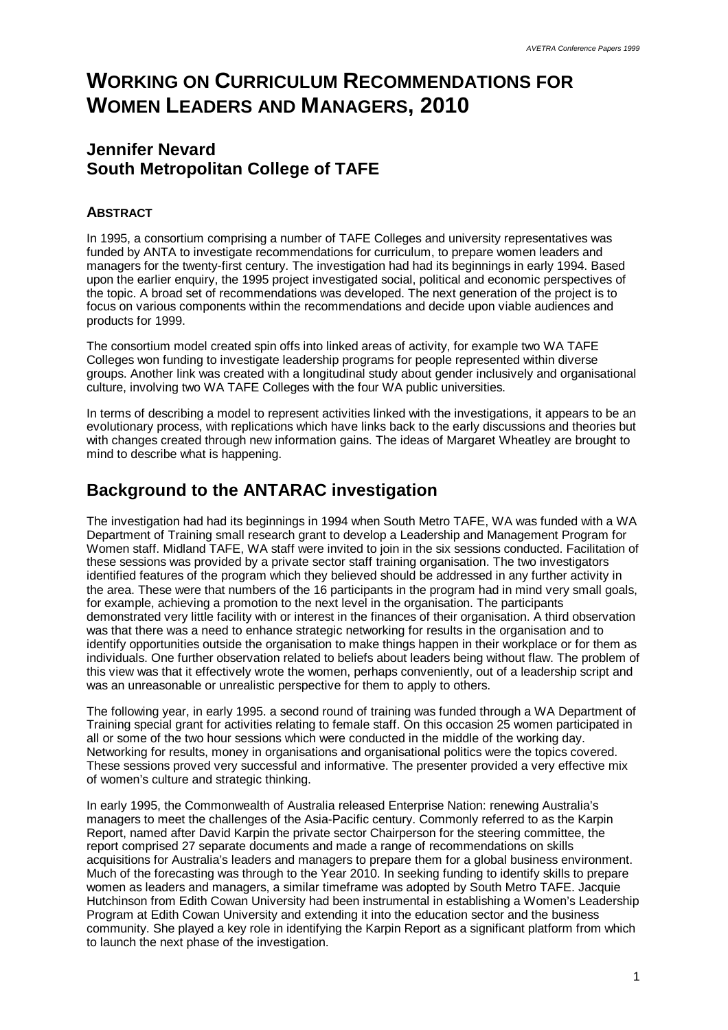# **WORKING ON CURRICULUM RECOMMENDATIONS FOR WOMEN LEADERS AND MANAGERS, 2010**

#### **Jennifer Nevard South Metropolitan College of TAFE**

#### **ABSTRACT**

In 1995, a consortium comprising a number of TAFE Colleges and university representatives was funded by ANTA to investigate recommendations for curriculum, to prepare women leaders and managers for the twenty-first century. The investigation had had its beginnings in early 1994. Based upon the earlier enquiry, the 1995 project investigated social, political and economic perspectives of the topic. A broad set of recommendations was developed. The next generation of the project is to focus on various components within the recommendations and decide upon viable audiences and products for 1999.

The consortium model created spin offs into linked areas of activity, for example two WA TAFE Colleges won funding to investigate leadership programs for people represented within diverse groups. Another link was created with a longitudinal study about gender inclusively and organisational culture, involving two WA TAFE Colleges with the four WA public universities.

In terms of describing a model to represent activities linked with the investigations, it appears to be an evolutionary process, with replications which have links back to the early discussions and theories but with changes created through new information gains. The ideas of Margaret Wheatley are brought to mind to describe what is happening.

#### **Background to the ANTARAC investigation**

The investigation had had its beginnings in 1994 when South Metro TAFE, WA was funded with a WA Department of Training small research grant to develop a Leadership and Management Program for Women staff. Midland TAFE, WA staff were invited to join in the six sessions conducted. Facilitation of these sessions was provided by a private sector staff training organisation. The two investigators identified features of the program which they believed should be addressed in any further activity in the area. These were that numbers of the 16 participants in the program had in mind very small goals, for example, achieving a promotion to the next level in the organisation. The participants demonstrated very little facility with or interest in the finances of their organisation. A third observation was that there was a need to enhance strategic networking for results in the organisation and to identify opportunities outside the organisation to make things happen in their workplace or for them as individuals. One further observation related to beliefs about leaders being without flaw. The problem of this view was that it effectively wrote the women, perhaps conveniently, out of a leadership script and was an unreasonable or unrealistic perspective for them to apply to others.

The following year, in early 1995. a second round of training was funded through a WA Department of Training special grant for activities relating to female staff. On this occasion 25 women participated in all or some of the two hour sessions which were conducted in the middle of the working day. Networking for results, money in organisations and organisational politics were the topics covered. These sessions proved very successful and informative. The presenter provided a very effective mix of women's culture and strategic thinking.

In early 1995, the Commonwealth of Australia released Enterprise Nation: renewing Australia's managers to meet the challenges of the Asia-Pacific century. Commonly referred to as the Karpin Report, named after David Karpin the private sector Chairperson for the steering committee, the report comprised 27 separate documents and made a range of recommendations on skills acquisitions for Australia's leaders and managers to prepare them for a global business environment. Much of the forecasting was through to the Year 2010. In seeking funding to identify skills to prepare women as leaders and managers, a similar timeframe was adopted by South Metro TAFE. Jacquie Hutchinson from Edith Cowan University had been instrumental in establishing a Women's Leadership Program at Edith Cowan University and extending it into the education sector and the business community. She played a key role in identifying the Karpin Report as a significant platform from which to launch the next phase of the investigation.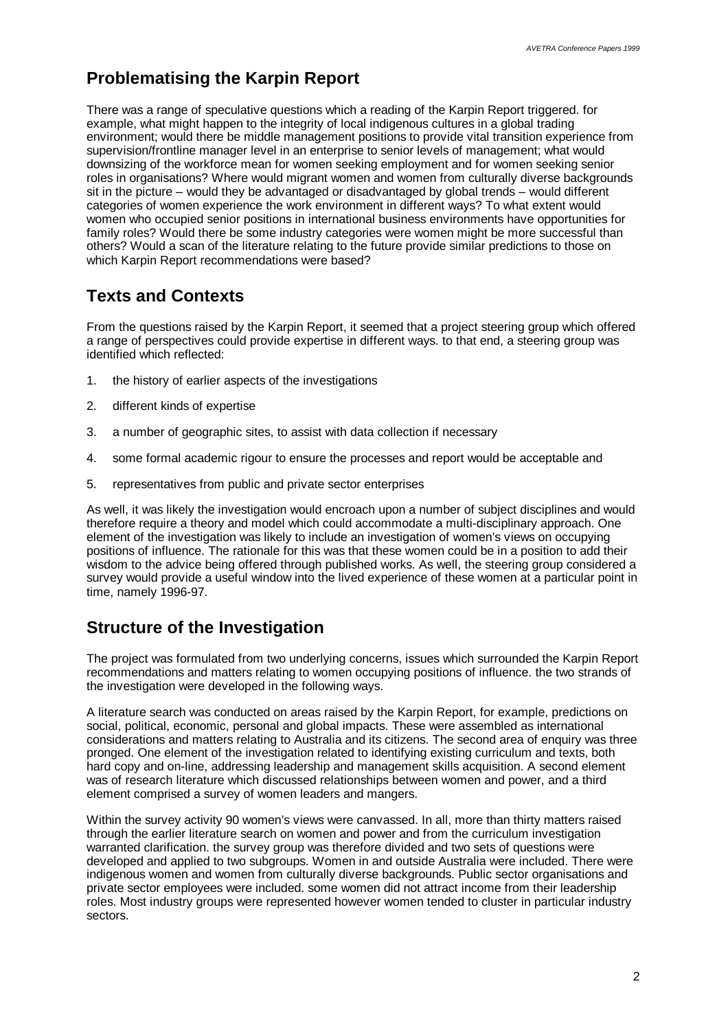### **Problematising the Karpin Report**

There was a range of speculative questions which a reading of the Karpin Report triggered, for example, what might happen to the integrity of local indigenous cultures in a global trading environment; would there be middle management positions to provide vital transition experience from supervision/frontline manager level in an enterprise to senior levels of management; what would downsizing of the workforce mean for women seeking employment and for women seeking senior roles in organisations? Where would migrant women and women from culturally diverse backgrounds sit in the picture – would they be advantaged or disadvantaged by global trends – would different categories of women experience the work environment in different ways? To what extent would women who occupied senior positions in international business environments have opportunities for family roles? Would there be some industry categories were women might be more successful than others? Would a scan of the literature relating to the future provide similar predictions to those on which Karpin Report recommendations were based?

## **Texts and Contexts**

From the questions raised by the Karpin Report, it seemed that a project steering group which offered a range of perspectives could provide expertise in different ways. to that end, a steering group was identified which reflected:

- 1. the history of earlier aspects of the investigations
- 2. different kinds of expertise
- 3. a number of geographic sites, to assist with data collection if necessary
- 4. some formal academic rigour to ensure the processes and report would be acceptable and
- 5. representatives from public and private sector enterprises

As well, it was likely the investigation would encroach upon a number of subject disciplines and would therefore require a theory and model which could accommodate a multi-disciplinary approach. One element of the investigation was likely to include an investigation of women's views on occupying positions of influence. The rationale for this was that these women could be in a position to add their wisdom to the advice being offered through published works. As well, the steering group considered a survey would provide a useful window into the lived experience of these women at a particular point in time, namely 1996-97.

#### **Structure of the Investigation**

The project was formulated from two underlying concerns, issues which surrounded the Karpin Report recommendations and matters relating to women occupying positions of influence. the two strands of the investigation were developed in the following ways.

A literature search was conducted on areas raised by the Karpin Report, for example, predictions on social, political, economic, personal and global impacts. These were assembled as international considerations and matters relating to Australia and its citizens. The second area of enquiry was three pronged. One element of the investigation related to identifying existing curriculum and texts, both hard copy and on-line, addressing leadership and management skills acquisition. A second element was of research literature which discussed relationships between women and power, and a third element comprised a survey of women leaders and mangers.

Within the survey activity 90 women's views were canvassed. In all, more than thirty matters raised through the earlier literature search on women and power and from the curriculum investigation warranted clarification. the survey group was therefore divided and two sets of questions were developed and applied to two subgroups. Women in and outside Australia were included. There were indigenous women and women from culturally diverse backgrounds. Public sector organisations and private sector employees were included. some women did not attract income from their leadership roles. Most industry groups were represented however women tended to cluster in particular industry sectors.